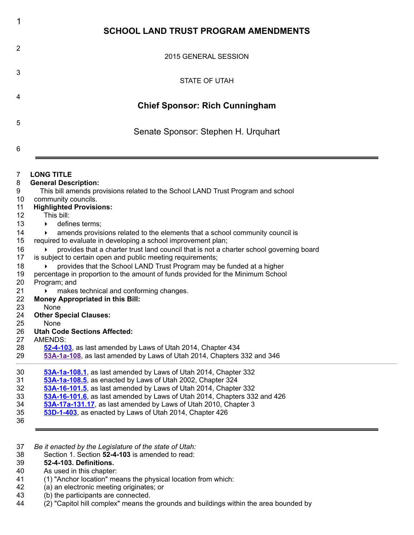| 1                                                                                                                                   | <b>SCHOOL LAND TRUST PROGRAM AMENDMENTS</b>                                                                                                                                                                                                                                                                                                                                                                                                                                                                                                                                                                                                                                                                                                                                                                                                                                                                                                                                                                                                           |
|-------------------------------------------------------------------------------------------------------------------------------------|-------------------------------------------------------------------------------------------------------------------------------------------------------------------------------------------------------------------------------------------------------------------------------------------------------------------------------------------------------------------------------------------------------------------------------------------------------------------------------------------------------------------------------------------------------------------------------------------------------------------------------------------------------------------------------------------------------------------------------------------------------------------------------------------------------------------------------------------------------------------------------------------------------------------------------------------------------------------------------------------------------------------------------------------------------|
| 2                                                                                                                                   | 2015 GENERAL SESSION                                                                                                                                                                                                                                                                                                                                                                                                                                                                                                                                                                                                                                                                                                                                                                                                                                                                                                                                                                                                                                  |
| 3                                                                                                                                   | STATE OF UTAH                                                                                                                                                                                                                                                                                                                                                                                                                                                                                                                                                                                                                                                                                                                                                                                                                                                                                                                                                                                                                                         |
| 4                                                                                                                                   | <b>Chief Sponsor: Rich Cunningham</b>                                                                                                                                                                                                                                                                                                                                                                                                                                                                                                                                                                                                                                                                                                                                                                                                                                                                                                                                                                                                                 |
| 5<br>6                                                                                                                              | Senate Sponsor: Stephen H. Urquhart                                                                                                                                                                                                                                                                                                                                                                                                                                                                                                                                                                                                                                                                                                                                                                                                                                                                                                                                                                                                                   |
| 7<br>8<br>9<br>10<br>11<br>12<br>13<br>14<br>15<br>16<br>17<br>18<br>19<br>20<br>21<br>22<br>23<br>24<br>25<br>26<br>27<br>28<br>29 | <b>LONG TITLE</b><br><b>General Description:</b><br>This bill amends provisions related to the School LAND Trust Program and school<br>community councils.<br><b>Highlighted Provisions:</b><br>This bill:<br>defines terms;<br>amends provisions related to the elements that a school community council is<br>required to evaluate in developing a school improvement plan;<br>provides that a charter trust land council that is not a charter school governing board<br>is subject to certain open and public meeting requirements;<br>provides that the School LAND Trust Program may be funded at a higher<br>percentage in proportion to the amount of funds provided for the Minimum School<br>Program; and<br>makes technical and conforming changes.<br><b>Money Appropriated in this Bill:</b><br>None<br><b>Other Special Clauses:</b><br>None<br><b>Utah Code Sections Affected:</b><br>AMENDS:<br>52-4-103, as last amended by Laws of Utah 2014, Chapter 434<br>53A-1a-108, as last amended by Laws of Utah 2014, Chapters 332 and 346 |
| 30<br>31<br>32<br>33<br>34<br>35<br>36                                                                                              | 53A-1a-108.1, as last amended by Laws of Utah 2014, Chapter 332<br>53A-1a-108.5, as enacted by Laws of Utah 2002, Chapter 324<br>53A-16-101.5, as last amended by Laws of Utah 2014, Chapter 332<br>53A-16-101.6, as last amended by Laws of Utah 2014, Chapters 332 and 426<br>53A-17a-131.17, as last amended by Laws of Utah 2010, Chapter 3<br>53D-1-403, as enacted by Laws of Utah 2014, Chapter 426                                                                                                                                                                                                                                                                                                                                                                                                                                                                                                                                                                                                                                            |
|                                                                                                                                     |                                                                                                                                                                                                                                                                                                                                                                                                                                                                                                                                                                                                                                                                                                                                                                                                                                                                                                                                                                                                                                                       |

37 *Be it enacted by the Legislature of the state of Utah:*

38 Section 1. Section **52-4-103** is amended to read:

## 39 **52-4-103. Definitions.**

40 As used in this chapter:<br>41 (1) "Anchor location" me

- 41 (1) "Anchor location" means the physical location from which:
- 42 (a) an electronic meeting originates; or
- 43 (b) the participants are connected.<br>44 (2) "Capitol hill complex" means the
- (2) the participatity are commetted.<br>(2) "Capitol hill complex" means the grounds and buildings within the area bounded by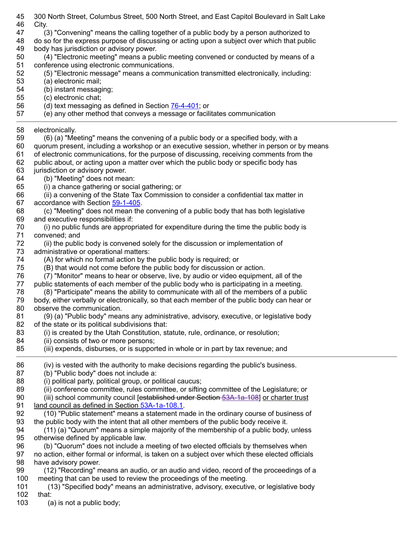- 45 300 North Street, Columbus Street, 500 North Street, and East Capitol Boulevard in Salt Lake 46 City. 47 (3) "Convening" means the calling together of a public body by a person authorized to 48 do so for the express purpose of discussing or acting upon a subject over which that public 49 body has jurisdiction or advisory power. 50 (4) "Electronic meeting" means a public meeting convened or conducted by means of a 51 conference using electronic communications. 52 (5) "Electronic message" means a communication transmitted electronically, including: 53 (a) electronic mail; 54 (b) instant messaging; 55 (c) electronic chat; 56 (d) text messaging as defined in Section [76-4-401;](http://le.utah.gov/UtahCode/SectionLookup.jsp?section=76-4-401&session=2015GS) or 57 (e) any other method that conveys a message or facilitates communication 58 electronically. 59 (6) (a) "Meeting" means the convening of a public body or a specified body, with a 60 quorum present, including a workshop or an executive session, whether in person or by means 61 of electronic communications, for the purpose of discussing, receiving comments from the 62 public about, or acting upon a matter over which the public body or specific body has 63 jurisdiction or advisory power. 64 (b) "Meeting" does not mean: 65 (i) a chance gathering or social gathering; or 66 (ii) a convening of the State Tax Commission to consider a confidential tax matter in 67 accordance with Section [59-1-405.](http://le.utah.gov/UtahCode/SectionLookup.jsp?section=59-1-405&session=2015GS) 68 (c) "Meeting" does not mean the convening of a public body that has both legislative 69 and executive responsibilities if: 70 (i) no public funds are appropriated for expenditure during the time the public body is 71 convened; and 72 (ii) the public body is convened solely for the discussion or implementation of 73 administrative or operational matters: 74 (A) for which no formal action by the public body is required; or<br>75 (B) that would not come before the public body for discussion o (B) that would not come before the public body for discussion or action. 76 (7) "Monitor" means to hear or observe, live, by audio or video equipment, all of the 77 public statements of each member of the public body who is participating in a meeting. 78 (8) "Participate" means the ability to communicate with all of the members of a public 79 body, either verbally or electronically, so that each member of the public body can hear or 80 observe the communication. 81 (9) (a) "Public body" means any administrative, advisory, executive, or legislative body 82 of the state or its political subdivisions that: 83 (i) is created by the Utah Constitution, statute, rule, ordinance, or resolution; 84 (ii) consists of two or more persons; 85 (iii) expends, disburses, or is supported in whole or in part by tax revenue; and 86 (iv) is vested with the authority to make decisions regarding the public's business. 87 (b) "Public body" does not include a: 88 (i) political party, political group, or political caucus; 89 (ii) conference committee, rules committee, or sifting committee of the Legislature; or 90 (iii) school community council [established under Section [53A-1a-108\]](http://le.utah.gov/~2015/bills/hbillenr/HB0363.htm#53a-1a-108) or charter trust 91 land council as defined in Section [53A-1a-108.1.](http://le.utah.gov/~2015/bills/hbillenr/HB0363.htm#53a-1a-108.1) 92 (10) "Public statement" means a statement made in the ordinary course of business of 93 the public body with the intent that all other members of the public body receive it. 94 (11) (a) "Quorum" means a simple majority of the membership of a public body, unless 95 otherwise defined by applicable law. 96 (b) "Quorum" does not include a meeting of two elected officials by themselves when 97 no action, either formal or informal, is taken on a subject over which these elected officials 98 have advisory power. 99 (12) "Recording" means an audio, or an audio and video, record of the proceedings of a 100 meeting that can be used to review the proceedings of the meeting. 101 (13) "Specified body" means an administrative, advisory, executive, or legislative body 102 that:
	- 103 (a) is not a public body;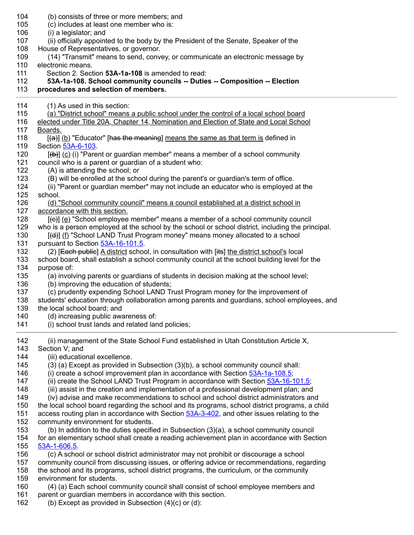| 104 | (b) consists of three or more members; and                                                                 |
|-----|------------------------------------------------------------------------------------------------------------|
| 105 | (c) includes at least one member who is:                                                                   |
| 106 | (i) a legislator; and                                                                                      |
| 107 | (ii) officially appointed to the body by the President of the Senate, Speaker of the                       |
| 108 | House of Representatives, or governor.                                                                     |
| 109 | (14) "Transmit" means to send, convey, or communicate an electronic message by                             |
| 110 | electronic means.                                                                                          |
| 111 | Section 2. Section 53A-1a-108 is amended to read:                                                          |
| 112 | 53A-1a-108. School community councils -- Duties -- Composition -- Election                                 |
| 113 | procedures and selection of members.                                                                       |
| 114 | (1) As used in this section:                                                                               |
| 115 | (a) "District school" means a public school under the control of a local school board                      |
| 116 | elected under Title 20A, Chapter 14, Nomination and Election of State and Local School                     |
| 117 | Boards.                                                                                                    |
| 118 | $[\langle a \rangle]$ (b) "Educator" [has the meaning] means the same as that term is defined in           |
| 119 | Section 53A-6-103                                                                                          |
| 120 | $[\frac{\mathbf{b}}{\mathbf{c}}]$ (c) (i) "Parent or guardian member" means a member of a school community |
| 121 | council who is a parent or guardian of a student who:                                                      |
| 122 | (A) is attending the school; or                                                                            |
| 123 | (B) will be enrolled at the school during the parent's or guardian's term of office.                       |
| 124 | (ii) "Parent or guardian member" may not include an educator who is employed at the                        |
| 125 | school.                                                                                                    |
| 126 | (d) "School community council" means a council established at a district school in                         |
| 127 | accordance with this section.                                                                              |
| 128 | [(e)] (e) "School employee member" means a member of a school community council                            |
| 129 | who is a person employed at the school by the school or school district, including the principal.          |
| 130 | [(d)] (f) "School LAND Trust Program money" means money allocated to a school                              |
| 131 | pursuant to Section 53A-16-101.5.                                                                          |
| 132 | (2) [Each public] A district school, in consultation with [its] the district school's local                |
| 133 | school board, shall establish a school community council at the school building level for the              |
| 134 | purpose of:                                                                                                |
| 135 | (a) involving parents or guardians of students in decision making at the school level;                     |
| 136 | (b) improving the education of students;                                                                   |
| 137 | (c) prudently expending School LAND Trust Program money for the improvement of                             |
| 138 | students' education through collaboration among parents and guardians, school employees, and               |
| 139 | the local school board; and                                                                                |
| 140 | (d) increasing public awareness of:                                                                        |
| 141 | (i) school trust lands and related land policies;                                                          |
| 142 | (ii) management of the State School Fund established in Utah Constitution Article X,                       |
| 143 | Section V; and                                                                                             |
| 144 | (iii) educational excellence.                                                                              |
| 145 | (3) (a) Except as provided in Subsection (3)(b), a school community council shall:                         |
| 146 | (i) create a school improvement plan in accordance with Section 53A-1a-108.5;                              |
| 147 | (ii) create the School LAND Trust Program in accordance with Section 53A-16-101.5;                         |
| 148 | (iii) assist in the creation and implementation of a professional development plan; and                    |
| 149 | (iv) advise and make recommendations to school and school district administrators and                      |
| 150 | the local school board regarding the school and its programs, school district programs, a child            |
| 151 | access routing plan in accordance with Section 53A-3-402, and other issues relating to the                 |
| 152 | community environment for students.                                                                        |
| 153 | (b) In addition to the duties specified in Subsection (3)(a), a school community council                   |
| 154 | for an elementary school shall create a reading achievement plan in accordance with Section                |
| 155 | 53A-1-606.5                                                                                                |
| 156 | (c) A school or school district administrator may not prohibit or discourage a school                      |
| 157 | community council from discussing issues, or offering advice or recommendations, regarding                 |
| 158 | the school and its programs, school district programs, the curriculum, or the community                    |
| 159 | environment for students.                                                                                  |
| 160 | (4) (a) Each school community council shall consist of school employee members and                         |
| 161 | parent or guardian members in accordance with this section.                                                |
| 162 | (b) Except as provided in Subsection $(4)(c)$ or $(d)$ :                                                   |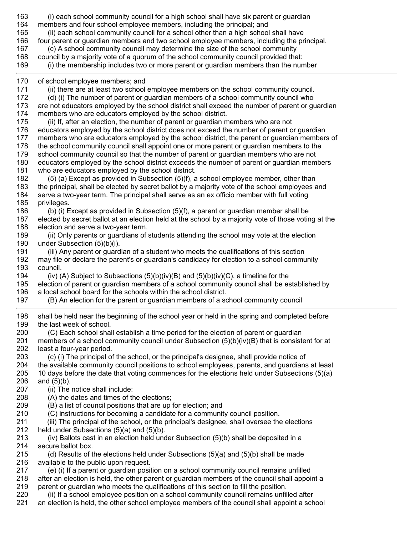163 (i) each school community council for a high school shall have six parent or guardian 164 members and four school employee members, including the principal; and 165 (ii) each school community council for a school other than a high school shall have 166 four parent or guardian members and two school employee members, including the principal. 167 (c) A school community council may determine the size of the school community 168 council by a majority vote of a quorum of the school community council provided that: 169 (i) the membership includes two or more parent or guardian members than the number 170 of school employee members; and 171 (ii) there are at least two school employee members on the school community council. 172 (d) (i) The number of parent or guardian members of a school community council who 173 are not educators employed by the school district shall exceed the number of parent or guardian 174 members who are educators employed by the school district. 175 (ii) If, after an election, the number of parent or guardian members who are not 176 educators employed by the school district does not exceed the number of parent or guardian 177 members who are educators employed by the school district, the parent or guardian members of 178 the school community council shall appoint one or more parent or guardian members to the 179 school community council so that the number of parent or guardian members who are not 180 educators employed by the school district exceeds the number of parent or guardian members 181 who are educators employed by the school district. 182 (5) (a) Except as provided in Subsection (5)(f), a school employee member, other than 183 the principal, shall be elected by secret ballot by a majority vote of the school employees and 184 serve a two-year term. The principal shall serve as an ex officio member with full voting 185 privileges. 186 (b) (i) Except as provided in Subsection (5)(f), a parent or guardian member shall be 187 elected by secret ballot at an election held at the school by a majority vote of those voting at the 188 election and serve a two-year term. 189 (ii) Only parents or guardians of students attending the school may vote at the election 190 under Subsection (5)(b)(i). 191 (iii) Any parent or guardian of a student who meets the qualifications of this section 192 may file or declare the parent's or guardian's candidacy for election to a school community 193 council. 194 (iv) (A) Subject to Subsections (5)(b)(iv)(B) and (5)(b)(iv)(C), a timeline for the 195 election of parent or guardian members of a school community council shall be established by 196 a local school board for the schools within the school district. 197 (B) An election for the parent or guardian members of a school community council 198 shall be held near the beginning of the school year or held in the spring and completed before 199 the last week of school. 200 (C) Each school shall establish a time period for the election of parent or guardian 201 members of a school community council under Subsection (5)(b)(iv)(B) that is consistent for at 202 least a four-year period. 203 (c) (i) The principal of the school, or the principal's designee, shall provide notice of 204 the available community council positions to school employees, parents, and guardians at least 205 10 days before the date that voting commences for the elections held under Subsections (5)(a) 206 and (5)(b). 207 (ii) The notice shall include: 208 (A) the dates and times of the elections; 209 (B) a list of council positions that are up for election; and 210 (C) instructions for becoming a candidate for a community council position. 211 (iii) The principal of the school, or the principal's designee, shall oversee the elections 212 held under Subsections (5)(a) and (5)(b). 213 (iv) Ballots cast in an election held under Subsection (5)(b) shall be deposited in a 214 secure ballot box. 215 (d) Results of the elections held under Subsections  $(5)(a)$  and  $(5)(b)$  shall be made 216 available to the public upon request. 217 (e) (i) If a parent or guardian position on a school community council remains unfilled 218 after an election is held, the other parent or guardian members of the council shall appoint a 219 parent or guardian who meets the qualifications of this section to fill the position. 220 (ii) If a school employee position on a school community council remains unfilled after 221 an election is held, the other school employee members of the council shall appoint a school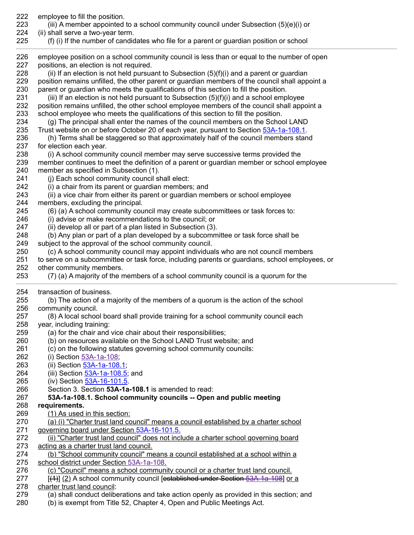| 222<br>223 | employee to fill the position.<br>(iii) A member appointed to a school community council under Subsection $(5)(e)(i)$ or                                                                 |
|------------|------------------------------------------------------------------------------------------------------------------------------------------------------------------------------------------|
| 224        | (ii) shall serve a two-year term.                                                                                                                                                        |
| 225        | (f) (i) If the number of candidates who file for a parent or guardian position or school                                                                                                 |
| 226        | employee position on a school community council is less than or equal to the number of open                                                                                              |
| 227        | positions, an election is not required.                                                                                                                                                  |
| 228        | (ii) If an election is not held pursuant to Subsection $(5)(f)(i)$ and a parent or guardian                                                                                              |
| 229        | position remains unfilled, the other parent or guardian members of the council shall appoint a                                                                                           |
| 230        | parent or guardian who meets the qualifications of this section to fill the position.                                                                                                    |
| 231<br>232 | (iii) If an election is not held pursuant to Subsection $(5)(f)(i)$ and a school employee<br>position remains unfilled, the other school employee members of the council shall appoint a |
| 233        | school employee who meets the qualifications of this section to fill the position.                                                                                                       |
| 234        | (g) The principal shall enter the names of the council members on the School LAND                                                                                                        |
| 235        | Trust website on or before October 20 of each year, pursuant to Section 53A-1a-108.1.                                                                                                    |
| 236        | (h) Terms shall be staggered so that approximately half of the council members stand                                                                                                     |
| 237        | for election each year.                                                                                                                                                                  |
| 238        | (i) A school community council member may serve successive terms provided the                                                                                                            |
| 239        | member continues to meet the definition of a parent or guardian member or school employee                                                                                                |
| 240        | member as specified in Subsection (1).                                                                                                                                                   |
| 241        | (j) Each school community council shall elect:                                                                                                                                           |
| 242        | (i) a chair from its parent or guardian members; and                                                                                                                                     |
| 243        | (ii) a vice chair from either its parent or guardian members or school employee                                                                                                          |
| 244<br>245 | members, excluding the principal.<br>(6) (a) A school community council may create subcommittees or task forces to:                                                                      |
| 246        | (i) advise or make recommendations to the council; or                                                                                                                                    |
| 247        | (ii) develop all or part of a plan listed in Subsection (3).                                                                                                                             |
| 248        | (b) Any plan or part of a plan developed by a subcommittee or task force shall be                                                                                                        |
| 249        | subject to the approval of the school community council.                                                                                                                                 |
| 250        | (c) A school community council may appoint individuals who are not council members                                                                                                       |
| 251        | to serve on a subcommittee or task force, including parents or guardians, school employees, or                                                                                           |
| 252        | other community members.                                                                                                                                                                 |
| 253        | (7) (a) A majority of the members of a school community council is a quorum for the                                                                                                      |
| 254        | transaction of business.                                                                                                                                                                 |
| 255        | (b) The action of a majority of the members of a quorum is the action of the school                                                                                                      |
| 256        | community council.                                                                                                                                                                       |
| 257<br>258 | (8) A local school board shall provide training for a school community council each<br>year, including training:                                                                         |
| 259        | (a) for the chair and vice chair about their responsibilities;                                                                                                                           |
| 260        | (b) on resources available on the School LAND Trust website; and                                                                                                                         |
| 261        | (c) on the following statutes governing school community councils:                                                                                                                       |
| 262        | (i) Section 53A-1a-108;                                                                                                                                                                  |
| 263        | (ii) Section 53A-1a-108.1;                                                                                                                                                               |
| 264        | (iii) Section 53A-1a-108.5; and                                                                                                                                                          |
| 265        | (iv) Section 53A-16-101.5.                                                                                                                                                               |
| 266        | Section 3. Section 53A-1a-108.1 is amended to read:                                                                                                                                      |
| 267        | 53A-1a-108.1. School community councils -- Open and public meeting                                                                                                                       |
| 268<br>269 | requirements.<br>(1) As used in this section:                                                                                                                                            |
| 270        | (a) (i) "Charter trust land council" means a council established by a charter school                                                                                                     |
| 271        | governing board under Section 53A-16-101.5.                                                                                                                                              |
| 272        | (ii) "Charter trust land council" does not include a charter school governing board                                                                                                      |
| 273        | acting as a charter trust land council.                                                                                                                                                  |
| 274        | (b) "School community council" means a council established at a school within a                                                                                                          |
| 275        | school district under Section 53A-1a-108.                                                                                                                                                |
| 276        | (c) "Council" means a school community council or a charter trust land council.                                                                                                          |
| 277        | [(4)] (2) A school community council [established under Section 53A-1a-108] or a                                                                                                         |
| 278<br>279 | charter trust land council:                                                                                                                                                              |
|            |                                                                                                                                                                                          |
| 280        | (a) shall conduct deliberations and take action openly as provided in this section; and<br>(b) is exempt from Title 52, Chapter 4, Open and Public Meetings Act.                         |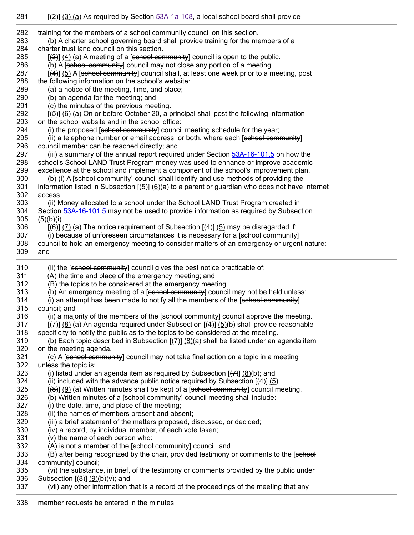| 282 | training for the members of a school community council on this section.                                             |
|-----|---------------------------------------------------------------------------------------------------------------------|
| 283 | (b) A charter school governing board shall provide training for the members of a                                    |
| 284 | charter trust land council on this section.                                                                         |
| 285 | $[\frac{3}{3}]$ (4) (a) A meeting of a [sehool community] council is open to the public.                            |
| 286 | (b) A [school community] council may not close any portion of a meeting.                                            |
| 287 | [(4)] (5) A [sehool community] council shall, at least one week prior to a meeting, post                            |
| 288 | the following information on the school's website:                                                                  |
| 289 | (a) a notice of the meeting, time, and place;                                                                       |
| 290 | (b) an agenda for the meeting; and                                                                                  |
| 291 | (c) the minutes of the previous meeting.                                                                            |
| 292 | [(5)] (6) (a) On or before October 20, a principal shall post the following information                             |
| 293 | on the school website and in the school office:                                                                     |
| 294 | (i) the proposed [school community] council meeting schedule for the year;                                          |
| 295 | (ii) a telephone number or email address, or both, where each [sehool community]                                    |
| 296 | council member can be reached directly; and                                                                         |
| 297 | (iii) a summary of the annual report required under Section 53A-16-101.5 on how the                                 |
| 298 | school's School LAND Trust Program money was used to enhance or improve academic                                    |
| 299 | excellence at the school and implement a component of the school's improvement plan.                                |
| 300 | (b) (i) A [sehool community] council shall identify and use methods of providing the                                |
| 301 | information listed in Subsection $[\frac{4}{5}]$ (6)(a) to a parent or guardian who does not have Internet          |
| 302 | access.                                                                                                             |
| 303 | (ii) Money allocated to a school under the School LAND Trust Program created in                                     |
| 304 | Section 53A-16-101.5 may not be used to provide information as required by Subsection                               |
| 305 | $(5)(b)(i)$ .                                                                                                       |
| 306 | $[\frac{16}{2}]$ (7) (a) The notice requirement of Subsection $[\frac{4}{2}]$ (5) may be disregarded if:            |
| 307 | (i) because of unforeseen circumstances it is necessary for a [sehool community]                                    |
| 308 | council to hold an emergency meeting to consider matters of an emergency or urgent nature;                          |
| 309 | and                                                                                                                 |
| 310 | (ii) the [school community] council gives the best notice practicable of:                                           |
| 311 | (A) the time and place of the emergency meeting; and                                                                |
| 312 | (B) the topics to be considered at the emergency meeting.                                                           |
| 313 | (b) An emergency meeting of a [sehool community] council may not be held unless:                                    |
| 314 | (i) an attempt has been made to notify all the members of the [sehool community]                                    |
| 315 | council; and                                                                                                        |
| 316 | (ii) a majority of the members of the [sehool community] council approve the meeting.                               |
| 317 | $[\overline{(+)}]$ (8) (a) An agenda required under Subsection $[\overline{(+)}]$ (5)(b) shall provide reasonable   |
| 318 | specificity to notify the public as to the topics to be considered at the meeting.                                  |
| 319 | (b) Each topic described in Subsection $[\overline{(7)}]$ $(\underline{8})(a)$ shall be listed under an agenda item |
| 320 | on the meeting agenda.                                                                                              |
| 321 | (c) A [sehool community] council may not take final action on a topic in a meeting                                  |
| 322 | unless the topic is:                                                                                                |
| 323 | (i) listed under an agenda item as required by Subsection $[\overline{(7)}]$ (8)(b); and                            |
| 324 | (ii) included with the advance public notice required by Subsection $[4]$ (5).                                      |
| 325 | [(8)] (9) (a) Written minutes shall be kept of a [sehool community] council meeting.                                |
| 326 | (b) Written minutes of a [school community] council meeting shall include:                                          |
| 327 | (i) the date, time, and place of the meeting;                                                                       |
| 328 | (ii) the names of members present and absent;                                                                       |
| 329 | (iii) a brief statement of the matters proposed, discussed, or decided;                                             |
| 330 | (iv) a record, by individual member, of each vote taken;                                                            |
| 331 | (v) the name of each person who:                                                                                    |
| 332 | (A) is not a member of the [school community] council; and                                                          |
| 333 | (B) after being recognized by the chair, provided testimony or comments to the [sehool                              |
| 334 | community] council;                                                                                                 |
| 335 | (vi) the substance, in brief, of the testimony or comments provided by the public under                             |
| 336 | Subsection $[(8)]$ $(9)(b)(v)$ ; and                                                                                |
| 337 | (vii) any other information that is a record of the proceedings of the meeting that any                             |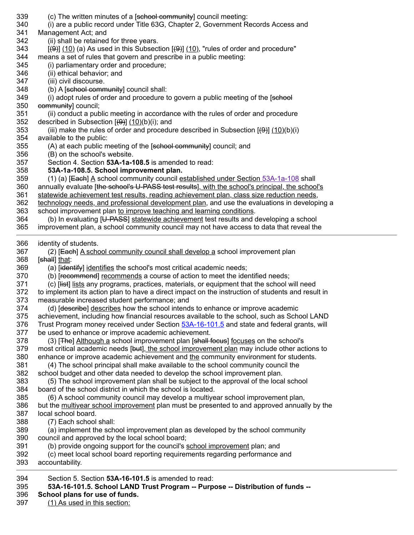| 394<br>395<br>396 | Section 5. Section 53A-16-101.5 is amended to read:<br>53A-16-101.5. School LAND Trust Program -- Purpose -- Distribution of funds --<br>School plans for use of funds.                 |
|-------------------|-----------------------------------------------------------------------------------------------------------------------------------------------------------------------------------------|
| 393               | accountability.                                                                                                                                                                         |
| 392               | (c) meet local school board reporting requirements regarding performance and                                                                                                            |
| 391               | (b) provide ongoing support for the council's school improvement plan; and                                                                                                              |
| 389<br>390        | (a) implement the school improvement plan as developed by the school community<br>council and approved by the local school board;                                                       |
| 388               | (7) Each school shall:                                                                                                                                                                  |
| 387               | local school board.                                                                                                                                                                     |
| 386               | but the multiyear school improvement plan must be presented to and approved annually by the                                                                                             |
| 385               | (6) A school community council may develop a multiyear school improvement plan,                                                                                                         |
| 384               | board of the school district in which the school is located.                                                                                                                            |
| 383               | (5) The school improvement plan shall be subject to the approval of the local school                                                                                                    |
| 382               | (4) The school principal shall make available to the school community council the<br>school budget and other data needed to develop the school improvement plan.                        |
| 380<br>381        | enhance or improve academic achievement and the community environment for students.                                                                                                     |
| 379               | most critical academic needs [but], the school improvement plan may include other actions to                                                                                            |
| 378               | (3) [The] Although a school improvement plan [shall focuse] focuses on the school's                                                                                                     |
| 377               | be used to enhance or improve academic achievement.                                                                                                                                     |
| 376               | Trust Program money received under Section 53A-16-101.5 and state and federal grants, will                                                                                              |
| 375               | achievement, including how financial resources available to the school, such as School LAND                                                                                             |
| 374               | (d) [describe] describes how the school intends to enhance or improve academic                                                                                                          |
| 373               | measurable increased student performance; and                                                                                                                                           |
| 372               | to implement its action plan to have a direct impact on the instruction of students and result in                                                                                       |
| 371               | (c) [ <del>list</del> ] lists any programs, practices, materials, or equipment that the school will need                                                                                |
| 370               | (b) [recommend] recommends a course of action to meet the identified needs;                                                                                                             |
| 369               | (a) [identify] identifies the school's most critical academic needs;                                                                                                                    |
| 367<br>368        | (2) [Each] A school community council shall develop a school improvement plan<br>[shall] that:                                                                                          |
| 366               | identity of students.                                                                                                                                                                   |
| 365               | improvement plan, a school community council may not have access to data that reveal the                                                                                                |
| 364               | (b) In evaluating [U-PASS] statewide achievement test results and developing a school                                                                                                   |
| 363               | school improvement plan to improve teaching and learning conditions.                                                                                                                    |
| 362               | technology needs, and professional development plan, and use the evaluations in developing a                                                                                            |
| 361               | statewide achievement test results, reading achievement plan, class size reduction needs,                                                                                               |
| 359<br>360        | (1) (a) [Each] A school community council established under Section 53A-1a-108 shall<br>annually evaluate [the school's U-PASS test results], with the school's principal, the school's |
| 358               | 53A-1a-108.5. School improvement plan.                                                                                                                                                  |
| 357               | Section 4. Section 53A-1a-108.5 is amended to read:                                                                                                                                     |
| 356               | (B) on the school's website.                                                                                                                                                            |
| 355               | (A) at each public meeting of the [school community] council; and                                                                                                                       |
| 354               | available to the public:                                                                                                                                                                |
| 353               | (iii) make the rules of order and procedure described in Subsection $[\Theta_{\text{t}}]$ (10)(b)(i)                                                                                    |
| 352               | described in Subsection $[\left(9\right)]$ (10)(b)(i); and                                                                                                                              |
| 351               | (ii) conduct a public meeting in accordance with the rules of order and procedure                                                                                                       |
| 350               | community] council;                                                                                                                                                                     |
| 349               | (i) adopt rules of order and procedure to govern a public meeting of the [sehool                                                                                                        |
| 348               | (b) A [school community] council shall:                                                                                                                                                 |
| 346<br>347        | (ii) ethical behavior; and<br>(iii) civil discourse.                                                                                                                                    |
| 345               | (i) parliamentary order and procedure;                                                                                                                                                  |
| 344               | means a set of rules that govern and prescribe in a public meeting:                                                                                                                     |
| 343               | $[\Theta]$ (10) (a) As used in this Subsection $[\Theta]$ (10), "rules of order and procedure"                                                                                          |
| 342               | (ii) shall be retained for three years.                                                                                                                                                 |
| 341               | Management Act; and                                                                                                                                                                     |
| 340               | (i) are a public record under Title 63G, Chapter 2, Government Records Access and                                                                                                       |
| 339               | (c) The written minutes of a [sehool community] council meeting:                                                                                                                        |

397 (1) As used in this section: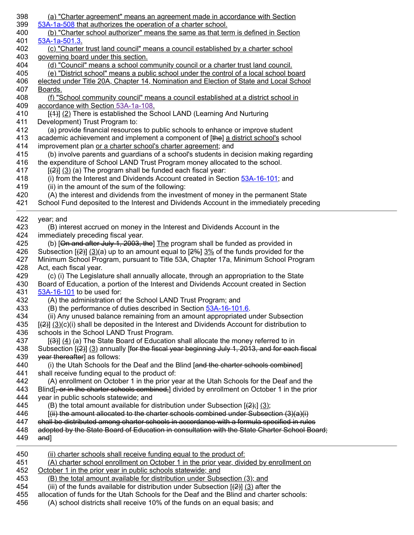| 398 | (a) "Charter agreement" means an agreement made in accordance with Section                                   |
|-----|--------------------------------------------------------------------------------------------------------------|
| 399 | 53A-1a-508 that authorizes the operation of a charter school.                                                |
| 400 | (b) "Charter school authorizer" means the same as that term is defined in Section                            |
| 401 | 53A-1a-501.3.                                                                                                |
| 402 | (c) "Charter trust land council" means a council established by a charter school                             |
| 403 | governing board under this section.                                                                          |
| 404 | (d) "Council" means a school community council or a charter trust land council.                              |
| 405 | (e) "District school" means a public school under the control of a local school board                        |
| 406 | elected under Title 20A, Chapter 14, Nomination and Election of State and Local School                       |
| 407 | Boards.                                                                                                      |
| 408 | (f) "School community council" means a council established at a district school in                           |
| 409 | accordance with Section 53A-1a-108.                                                                          |
| 410 | [(4)] (2) There is established the School LAND (Learning And Nurturing                                       |
| 411 | Development) Trust Program to:                                                                               |
| 412 | (a) provide financial resources to public schools to enhance or improve student                              |
| 413 | academic achievement and implement a component of [the] a district school's school                           |
| 414 | improvement plan or a charter school's charter agreement; and                                                |
| 415 | (b) involve parents and guardians of a school's students in decision making regarding                        |
| 416 | the expenditure of School LAND Trust Program money allocated to the school.                                  |
| 417 | $\left[\frac{2}{2}\right]$ (3) (a) The program shall be funded each fiscal year:                             |
| 418 | (i) from the Interest and Dividends Account created in Section 53A-16-101; and                               |
| 419 | (ii) in the amount of the sum of the following:                                                              |
| 420 | (A) the interest and dividends from the investment of money in the permanent State                           |
| 421 | School Fund deposited to the Interest and Dividends Account in the immediately preceding                     |
| 422 | year; and                                                                                                    |
| 423 | (B) interest accrued on money in the Interest and Dividends Account in the                                   |
| 424 | immediately preceding fiscal year.                                                                           |
| 425 | (b) [On and after July 1, 2003, the] The program shall be funded as provided in                              |
| 426 | Subsection $[\frac{2}{2}]$ (3)(a) up to an amount equal to $[2\%]$ 3% of the funds provided for the          |
| 427 | Minimum School Program, pursuant to Title 53A, Chapter 17a, Minimum School Program                           |
| 428 | Act, each fiscal year.                                                                                       |
| 429 | (c) (i) The Legislature shall annually allocate, through an appropriation to the State                       |
| 430 | Board of Education, a portion of the Interest and Dividends Account created in Section                       |
| 431 | 53A-16-101 to be used for:                                                                                   |
| 432 | (A) the administration of the School LAND Trust Program; and                                                 |
| 433 |                                                                                                              |
|     | (B) the performance of duties described in Section 53A-16-101.6.                                             |
| 434 | (ii) Any unused balance remaining from an amount appropriated under Subsection                               |
| 435 | $[\frac{2}{3}]$ (3)(c)(i) shall be deposited in the Interest and Dividends Account for distribution to       |
| 436 | schools in the School LAND Trust Program.                                                                    |
| 437 | [(3)] (4) (a) The State Board of Education shall allocate the money referred to in                           |
| 438 | Subsection $[2]$ (3) annually for the fiscal year beginning July 1, 2013, and for each fiscal                |
| 439 | year thereafter] as follows:                                                                                 |
| 440 | (i) the Utah Schools for the Deaf and the Blind [and the charter schools combined]                           |
| 441 | shall receive funding equal to the product of:                                                               |
| 442 | (A) enrollment on October 1 in the prior year at the Utah Schools for the Deaf and the                       |
| 443 | Blind, or in the charter schools combined, divided by enrollment on October 1 in the prior                   |
| 444 | year in public schools statewide; and                                                                        |
| 445 | (B) the total amount available for distribution under Subsection $[(2)$ ; $(3)$ ;                            |
| 446 | $\left[\right(\text{iii})$ the amount allocated to the charter schools combined under Subsection $(3)(a)(i)$ |
| 447 | shall be distributed among charter schools in accordance with a formula specified in rules                   |
| 448 | adopted by the State Board of Education in consultation with the State Charter School Board;                 |
| 449 | and]                                                                                                         |
| 450 | (ii) charter schools shall receive funding equal to the product of:                                          |
| 451 | (A) charter school enrollment on October 1 in the prior year, divided by enrollment on                       |
| 452 | October 1 in the prior year in public schools statewide; and                                                 |
| 453 | (B) the total amount available for distribution under Subsection (3); and                                    |
| 454 | (iii) of the funds available for distribution under Subsection $(\frac{2}{2})$ (3) after the                 |
| 455 | allocation of funds for the Utah Schools for the Deaf and the Blind and charter schools:                     |
| 456 | (A) school districts shall receive 10% of the funds on an equal basis; and                                   |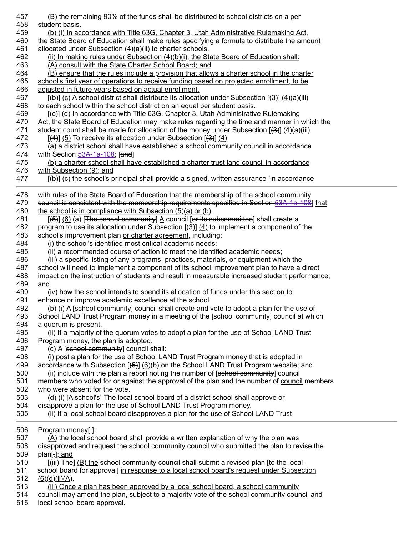| 457<br>458 | (B) the remaining 90% of the funds shall be distributed to school districts on a per<br>student basis.                                                                              |
|------------|-------------------------------------------------------------------------------------------------------------------------------------------------------------------------------------|
| 459        | <u>(b) (i) In accordance with Title 63G, Chapter 3, Utah Administrative Rulemaking Act,</u>                                                                                         |
| 460        | the State Board of Education shall make rules specifying a formula to distribute the amount                                                                                         |
| 461        | allocated under Subsection (4)(a)(ii) to charter schools.                                                                                                                           |
| 462        | (ii) In making rules under Subsection (4)(b)(i), the State Board of Education shall:                                                                                                |
| 463        | (A) consult with the State Charter School Board; and                                                                                                                                |
| 464        | (B) ensure that the rules include a provision that allows a charter school in the charter                                                                                           |
| 465        | school's first year of operations to receive funding based on projected enrollment, to be                                                                                           |
| 466        | adjusted in future years based on actual enrollment.                                                                                                                                |
| 467        | $[\frac{1}{2}]$ (c) A school district shall distribute its allocation under Subsection $[\frac{1}{2}]$ (4)(a)(iii)                                                                  |
| 468        | to each school within the school district on an equal per student basis.                                                                                                            |
| 469        | [(e)] (d) In accordance with Title 63G, Chapter 3, Utah Administrative Rulemaking                                                                                                   |
| 470        | Act, the State Board of Education may make rules regarding the time and manner in which the                                                                                         |
| 471        | student count shall be made for allocation of the money under Subsection $[\frac{(3)}{3}]$ (4)(a)(iii).                                                                             |
| 472        | $[\frac{(4)}{2}]$ (5) To receive its allocation under Subsection $[\frac{(3)}{2}]$ (4):                                                                                             |
| 473        | (a) a district school shall have established a school community council in accordance                                                                                               |
| 474        | with Section $53A-1a-108$ ; [and]                                                                                                                                                   |
| 475        | (b) a charter school shall have established a charter trust land council in accordance                                                                                              |
| 476<br>477 | with Subsection $(9)$ ; and<br>$[\bigoplus]$ (c) the school's principal shall provide a signed, written assurance [in accordance                                                    |
|            |                                                                                                                                                                                     |
| 478        | with rules of the State Board of Education that the membership of the school community                                                                                              |
| 479        | council is consistent with the membership requirements specified in Section 53A-1a-108] that                                                                                        |
| 480        | the school is in compliance with Subsection $(5)(a)$ or $(b)$ .                                                                                                                     |
| 481        | [(5)] (6) (a) [The school community] A council [or its subcommittee] shall create a                                                                                                 |
| 482<br>483 | program to use its allocation under Subsection $[\frac{(3)}{2}]$ (4) to implement a component of the<br>school's improvement plan or charter agreement, including:                  |
| 484        | (i) the school's identified most critical academic needs;                                                                                                                           |
| 485        | (ii) a recommended course of action to meet the identified academic needs;                                                                                                          |
| 486        | (iii) a specific listing of any programs, practices, materials, or equipment which the                                                                                              |
| 487        | school will need to implement a component of its school improvement plan to have a direct                                                                                           |
| 488        | impact on the instruction of students and result in measurable increased student performance;                                                                                       |
| 489        | and                                                                                                                                                                                 |
| 490        | (iv) how the school intends to spend its allocation of funds under this section to                                                                                                  |
| 491        | enhance or improve academic excellence at the school.                                                                                                                               |
| 492        | (b) (i) A [sehool community] council shall create and vote to adopt a plan for the use of                                                                                           |
| 493        | School LAND Trust Program money in a meeting of the [school community] council at which                                                                                             |
| 494        | a quorum is present.                                                                                                                                                                |
| 495        | (ii) If a majority of the quorum votes to adopt a plan for the use of School LAND Trust                                                                                             |
| 496        | Program money, the plan is adopted.                                                                                                                                                 |
| 497        | (c) A [school community] council shall:                                                                                                                                             |
| 498        | (i) post a plan for the use of School LAND Trust Program money that is adopted in                                                                                                   |
| 499        | accordance with Subsection $[\frac{45}{10}]$ (6)(b) on the School LAND Trust Program website; and                                                                                   |
| 500        | (ii) include with the plan a report noting the number of [sehool community] council                                                                                                 |
| 501        | members who voted for or against the approval of the plan and the number of council members                                                                                         |
| 502        | who were absent for the vote.                                                                                                                                                       |
| 503<br>504 | (d) (i) [A school's] The local school board of a district school shall approve or<br>disapprove a plan for the use of School LAND Trust Program money.                              |
| 505        | (ii) If a local school board disapproves a plan for the use of School LAND Trust                                                                                                    |
|            |                                                                                                                                                                                     |
| 506        | Program money[,]:                                                                                                                                                                   |
| 507        | $(A)$ the local school board shall provide a written explanation of why the plan was                                                                                                |
| 508        | disapproved and request the school community council who submitted the plan to revise the                                                                                           |
| 509        | plan[-]; and                                                                                                                                                                        |
| 510<br>511 | [(iii) The] (B) the school community council shall submit a revised plan [to the local<br>school board for approval] in response to a local school board's request under Subsection |
| 512        | $\underline{(6)}\underline{d}$ $\underline{(ii)}\underline{A}$ .                                                                                                                    |
| 513        | (iii) Once a plan has been approved by a local school board, a school community                                                                                                     |
| 514        | council may amend the plan, subject to a majority vote of the school community council and                                                                                          |
| 515        | local school board approval.                                                                                                                                                        |
|            |                                                                                                                                                                                     |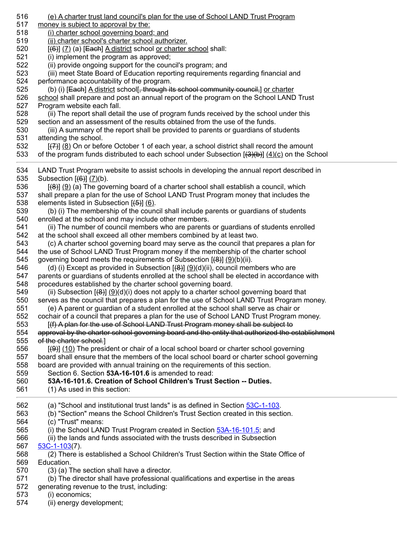| (e) A charter trust land council's plan for the use of School LAND Trust Program<br>money is subject to approval by the:<br>(i) charter school governing board; and<br>(ii) charter school's charter school authorizer.<br>$[\left(\frac{6}{6}\right)]$ (7) (a) [Each] A district school or charter school shall:<br>(i) implement the program as approved;<br>(ii) provide ongoing support for the council's program; and<br>(iii) meet State Board of Education reporting requirements regarding financial and<br>performance accountability of the program.<br>(b) (i) [Each] A district school[, through its school community council,] or charter<br>school shall prepare and post an annual report of the program on the School LAND Trust<br>Program website each fall.<br>(ii) The report shall detail the use of program funds received by the school under this<br>section and an assessment of the results obtained from the use of the funds.<br>(iii) A summary of the report shall be provided to parents or guardians of students<br>attending the school.<br>(8) On or before October 1 of each year, a school district shall record the amount<br>of the program funds distributed to each school under Subsection $[(3)(b)]$ $(4)(c)$ on the School                                                                                                                                                                                                                                                                                                                                                                                                                                                                                                                                                                                                                                                                                                                                                                                                                                                                                                                                                                                                                           |
|-------------------------------------------------------------------------------------------------------------------------------------------------------------------------------------------------------------------------------------------------------------------------------------------------------------------------------------------------------------------------------------------------------------------------------------------------------------------------------------------------------------------------------------------------------------------------------------------------------------------------------------------------------------------------------------------------------------------------------------------------------------------------------------------------------------------------------------------------------------------------------------------------------------------------------------------------------------------------------------------------------------------------------------------------------------------------------------------------------------------------------------------------------------------------------------------------------------------------------------------------------------------------------------------------------------------------------------------------------------------------------------------------------------------------------------------------------------------------------------------------------------------------------------------------------------------------------------------------------------------------------------------------------------------------------------------------------------------------------------------------------------------------------------------------------------------------------------------------------------------------------------------------------------------------------------------------------------------------------------------------------------------------------------------------------------------------------------------------------------------------------------------------------------------------------------------------------------------------------------------------------------------------------------------------|
|                                                                                                                                                                                                                                                                                                                                                                                                                                                                                                                                                                                                                                                                                                                                                                                                                                                                                                                                                                                                                                                                                                                                                                                                                                                                                                                                                                                                                                                                                                                                                                                                                                                                                                                                                                                                                                                                                                                                                                                                                                                                                                                                                                                                                                                                                                 |
| LAND Trust Program website to assist schools in developing the annual report described in<br>Subsection $[(6)]$ $(7)(b)$ .<br>(8)] (9) (a) The governing board of a charter school shall establish a council, which<br>shall prepare a plan for the use of School LAND Trust Program money that includes the<br>elements listed in Subsection $[\frac{1}{5}]$ (6).<br>(b) (i) The membership of the council shall include parents or guardians of students<br>enrolled at the school and may include other members.<br>(ii) The number of council members who are parents or guardians of students enrolled<br>at the school shall exceed all other members combined by at least two.<br>(c) A charter school governing board may serve as the council that prepares a plan for<br>the use of School LAND Trust Program money if the membership of the charter school<br>governing board meets the requirements of Subsection $(\frac{8}{12})(6)(i)$ .<br>(d) (i) Except as provided in Subsection $[\frac{(8)}{3}]$ ( $\underline{9}]$ (d)(ii), council members who are<br>parents or guardians of students enrolled at the school shall be elected in accordance with<br>procedures established by the charter school governing board.<br>(ii) Subsection $[\langle 0 \rangle](9)(d)(i)$ does not apply to a charter school governing board that<br>serves as the council that prepares a plan for the use of School LAND Trust Program money.<br>(e) A parent or guardian of a student enrolled at the school shall serve as chair or<br>cochair of a council that prepares a plan for the use of School LAND Trust Program money.<br>[(f) A plan for the use of School LAND Trust Program money shall be subject to<br>approval by the charter school governing board and the entity that authorized the establishment<br>of the charter school.]<br>$[\Theta]$ (10) The president or chair of a local school board or charter school governing<br>board shall ensure that the members of the local school board or charter school governing<br>board are provided with annual training on the requirements of this section.<br>Section 6. Section 53A-16-101.6 is amended to read:<br>53A-16-101.6. Creation of School Children's Trust Section -- Duties.<br>(1) As used in this section: |
| (a) "School and institutional trust lands" is as defined in Section 53C-1-103.                                                                                                                                                                                                                                                                                                                                                                                                                                                                                                                                                                                                                                                                                                                                                                                                                                                                                                                                                                                                                                                                                                                                                                                                                                                                                                                                                                                                                                                                                                                                                                                                                                                                                                                                                                                                                                                                                                                                                                                                                                                                                                                                                                                                                  |
| (b) "Section" means the School Children's Trust Section created in this section.<br>(c) "Trust" means:                                                                                                                                                                                                                                                                                                                                                                                                                                                                                                                                                                                                                                                                                                                                                                                                                                                                                                                                                                                                                                                                                                                                                                                                                                                                                                                                                                                                                                                                                                                                                                                                                                                                                                                                                                                                                                                                                                                                                                                                                                                                                                                                                                                          |
| (i) the School LAND Trust Program created in Section 53A-16-101.5; and                                                                                                                                                                                                                                                                                                                                                                                                                                                                                                                                                                                                                                                                                                                                                                                                                                                                                                                                                                                                                                                                                                                                                                                                                                                                                                                                                                                                                                                                                                                                                                                                                                                                                                                                                                                                                                                                                                                                                                                                                                                                                                                                                                                                                          |
| (ii) the lands and funds associated with the trusts described in Subsection                                                                                                                                                                                                                                                                                                                                                                                                                                                                                                                                                                                                                                                                                                                                                                                                                                                                                                                                                                                                                                                                                                                                                                                                                                                                                                                                                                                                                                                                                                                                                                                                                                                                                                                                                                                                                                                                                                                                                                                                                                                                                                                                                                                                                     |
| $53C-1-103(7)$ .                                                                                                                                                                                                                                                                                                                                                                                                                                                                                                                                                                                                                                                                                                                                                                                                                                                                                                                                                                                                                                                                                                                                                                                                                                                                                                                                                                                                                                                                                                                                                                                                                                                                                                                                                                                                                                                                                                                                                                                                                                                                                                                                                                                                                                                                                |
| (2) There is established a School Children's Trust Section within the State Office of                                                                                                                                                                                                                                                                                                                                                                                                                                                                                                                                                                                                                                                                                                                                                                                                                                                                                                                                                                                                                                                                                                                                                                                                                                                                                                                                                                                                                                                                                                                                                                                                                                                                                                                                                                                                                                                                                                                                                                                                                                                                                                                                                                                                           |
| Education.                                                                                                                                                                                                                                                                                                                                                                                                                                                                                                                                                                                                                                                                                                                                                                                                                                                                                                                                                                                                                                                                                                                                                                                                                                                                                                                                                                                                                                                                                                                                                                                                                                                                                                                                                                                                                                                                                                                                                                                                                                                                                                                                                                                                                                                                                      |
| (3) (a) The section shall have a director.<br>(b) The director shall have professional qualifications and expertise in the areas                                                                                                                                                                                                                                                                                                                                                                                                                                                                                                                                                                                                                                                                                                                                                                                                                                                                                                                                                                                                                                                                                                                                                                                                                                                                                                                                                                                                                                                                                                                                                                                                                                                                                                                                                                                                                                                                                                                                                                                                                                                                                                                                                                |
| generating revenue to the trust, including:                                                                                                                                                                                                                                                                                                                                                                                                                                                                                                                                                                                                                                                                                                                                                                                                                                                                                                                                                                                                                                                                                                                                                                                                                                                                                                                                                                                                                                                                                                                                                                                                                                                                                                                                                                                                                                                                                                                                                                                                                                                                                                                                                                                                                                                     |
| (i) economics;                                                                                                                                                                                                                                                                                                                                                                                                                                                                                                                                                                                                                                                                                                                                                                                                                                                                                                                                                                                                                                                                                                                                                                                                                                                                                                                                                                                                                                                                                                                                                                                                                                                                                                                                                                                                                                                                                                                                                                                                                                                                                                                                                                                                                                                                                  |
|                                                                                                                                                                                                                                                                                                                                                                                                                                                                                                                                                                                                                                                                                                                                                                                                                                                                                                                                                                                                                                                                                                                                                                                                                                                                                                                                                                                                                                                                                                                                                                                                                                                                                                                                                                                                                                                                                                                                                                                                                                                                                                                                                                                                                                                                                                 |

574 (ii) energy development;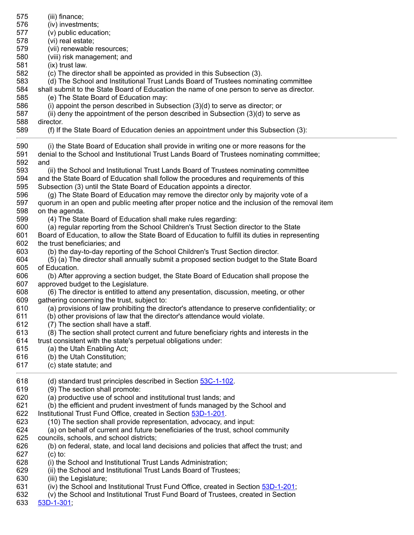| 575        | (iii) finance;                                                                                                                      |
|------------|-------------------------------------------------------------------------------------------------------------------------------------|
| 576        | (iv) investments;                                                                                                                   |
| 577        | (v) public education;                                                                                                               |
| 578        | (vi) real estate;                                                                                                                   |
| 579        | (vii) renewable resources;                                                                                                          |
| 580        | (viii) risk management; and                                                                                                         |
| 581        | (ix) trust law.                                                                                                                     |
| 582        | (c) The director shall be appointed as provided in this Subsection (3).                                                             |
| 583        | (d) The School and Institutional Trust Lands Board of Trustees nominating committee                                                 |
| 584        | shall submit to the State Board of Education the name of one person to serve as director.                                           |
| 585        | (e) The State Board of Education may:                                                                                               |
| 586        | (i) appoint the person described in Subsection $(3)(d)$ to serve as director; or                                                    |
| 587        | (ii) deny the appointment of the person described in Subsection (3)(d) to serve as                                                  |
| 588        | director.                                                                                                                           |
| 589        | (f) If the State Board of Education denies an appointment under this Subsection (3):                                                |
| 590        | (i) the State Board of Education shall provide in writing one or more reasons for the                                               |
| 591        | denial to the School and Institutional Trust Lands Board of Trustees nominating committee;                                          |
| 592        | and                                                                                                                                 |
| 593        | (ii) the School and Institutional Trust Lands Board of Trustees nominating committee                                                |
| 594        | and the State Board of Education shall follow the procedures and requirements of this                                               |
| 595        | Subsection (3) until the State Board of Education appoints a director.                                                              |
| 596        | (g) The State Board of Education may remove the director only by majority vote of a                                                 |
| 597        | quorum in an open and public meeting after proper notice and the inclusion of the removal item                                      |
| 598        | on the agenda.                                                                                                                      |
| 599        | (4) The State Board of Education shall make rules regarding:                                                                        |
| 600        | (a) regular reporting from the School Children's Trust Section director to the State                                                |
| 601        | Board of Education, to allow the State Board of Education to fulfill its duties in representing                                     |
| 602        | the trust beneficiaries; and                                                                                                        |
| 603        | (b) the day-to-day reporting of the School Children's Trust Section director.                                                       |
| 604        | (5) (a) The director shall annually submit a proposed section budget to the State Board                                             |
| 605        | of Education.                                                                                                                       |
| 606        | (b) After approving a section budget, the State Board of Education shall propose the                                                |
| 607        | approved budget to the Legislature.                                                                                                 |
| 608        | (6) The director is entitled to attend any presentation, discussion, meeting, or other                                              |
| 609        | gathering concerning the trust, subject to:                                                                                         |
| 610        | (a) provisions of law prohibiting the director's attendance to preserve confidentiality; or                                         |
| 611        | (b) other provisions of law that the director's attendance would violate.                                                           |
| 612        | (7) The section shall have a staff.                                                                                                 |
| 613        | (8) The section shall protect current and future beneficiary rights and interests in the                                            |
| 614        | trust consistent with the state's perpetual obligations under:                                                                      |
| 615        | (a) the Utah Enabling Act;                                                                                                          |
| 616        | (b) the Utah Constitution;                                                                                                          |
| 617        | (c) state statute; and                                                                                                              |
| 618        | (d) standard trust principles described in Section 53C-1-102.                                                                       |
| 619        | (9) The section shall promote:                                                                                                      |
| 620        | (a) productive use of school and institutional trust lands; and                                                                     |
| 621        | (b) the efficient and prudent investment of funds managed by the School and                                                         |
| 622        | Institutional Trust Fund Office, created in Section 53D-1-201.                                                                      |
| 623        | (10) The section shall provide representation, advocacy, and input:                                                                 |
| 624<br>625 | (a) on behalf of current and future beneficiaries of the trust, school community                                                    |
| 626        | councils, schools, and school districts;<br>(b) on federal, state, and local land decisions and policies that affect the trust; and |
| 627        | $(c)$ to:                                                                                                                           |
| 628        | (i) the School and Institutional Trust Lands Administration;                                                                        |
| 629        | (ii) the School and Institutional Trust Lands Board of Trustees;                                                                    |
| 630        | (iii) the Legislature;                                                                                                              |
| 631        | (iv) the School and Institutional Trust Fund Office, created in Section 53D-1-201;                                                  |
| 632        | (v) the School and Institutional Trust Fund Board of Trustees, created in Section                                                   |
| 633        | $53D-1-301$                                                                                                                         |